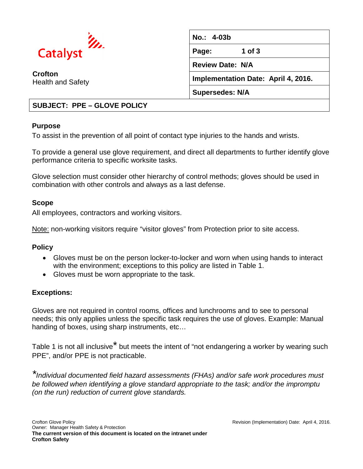

**Crofton**  Health and Safety **No.: 4-03b Page: 1 of 3 Review Date: N/A Implementation Date: April 4, 2016. Supersedes: N/A**

## **SUBJECT: PPE – GLOVE POLICY**

#### **Purpose**

To assist in the prevention of all point of contact type injuries to the hands and wrists.

To provide a general use glove requirement, and direct all departments to further identify glove performance criteria to specific worksite tasks.

Glove selection must consider other hierarchy of control methods; gloves should be used in combination with other controls and always as a last defense.

### **Scope**

All employees, contractors and working visitors.

Note: non-working visitors require "visitor gloves" from Protection prior to site access.

### **Policy**

- Gloves must be on the person locker-to-locker and worn when using hands to interact with the environment; exceptions to this policy are listed in Table 1.
- Gloves must be worn appropriate to the task.

### **Exceptions:**

Gloves are not required in control rooms, offices and lunchrooms and to see to personal needs; this only applies unless the specific task requires the use of gloves. Example: Manual handing of boxes, using sharp instruments, etc…

Table 1 is not all inclusive<sup>\*</sup> but meets the intent of "not endangering a worker by wearing such PPE", and/or PPE is not practicable.

*\*Individual documented field hazard assessments (FHAs) and/or safe work procedures must be followed when identifying a glove standard appropriate to the task; and/or the impromptu (on the run) reduction of current glove standards.*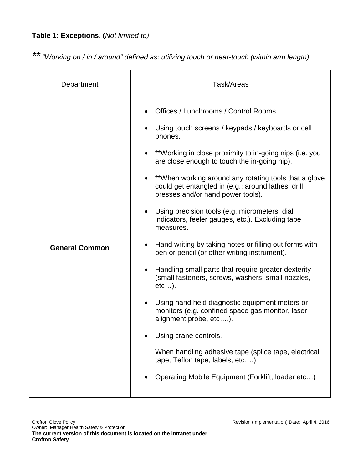# **Table 1: Exceptions. (***Not limited to)*

*\*\*"Working on / in / around" defined as; utilizing touch or near-touch (within arm length)*

| Department            | Task/Areas                                                                                                                                                                                                                                                                                                                                                                                                                                                                                                                                                                                                                                                                                                                                                                                                                                                                                                                                                                                                                    |
|-----------------------|-------------------------------------------------------------------------------------------------------------------------------------------------------------------------------------------------------------------------------------------------------------------------------------------------------------------------------------------------------------------------------------------------------------------------------------------------------------------------------------------------------------------------------------------------------------------------------------------------------------------------------------------------------------------------------------------------------------------------------------------------------------------------------------------------------------------------------------------------------------------------------------------------------------------------------------------------------------------------------------------------------------------------------|
| <b>General Common</b> | Offices / Lunchrooms / Control Rooms<br>Using touch screens / keypads / keyboards or cell<br>phones.<br>**Working in close proximity to in-going nips (i.e. you<br>are close enough to touch the in-going nip).<br>**When working around any rotating tools that a glove<br>could get entangled in (e.g.: around lathes, drill<br>presses and/or hand power tools).<br>Using precision tools (e.g. micrometers, dial<br>indicators, feeler gauges, etc.). Excluding tape<br>measures.<br>Hand writing by taking notes or filling out forms with<br>pen or pencil (or other writing instrument).<br>Handling small parts that require greater dexterity<br>(small fasteners, screws, washers, small nozzles,<br>etc).<br>Using hand held diagnostic equipment meters or<br>monitors (e.g. confined space gas monitor, laser<br>alignment probe, etc).<br>Using crane controls.<br>When handling adhesive tape (splice tape, electrical<br>tape, Teflon tape, labels, etc)<br>Operating Mobile Equipment (Forklift, loader etc) |
|                       |                                                                                                                                                                                                                                                                                                                                                                                                                                                                                                                                                                                                                                                                                                                                                                                                                                                                                                                                                                                                                               |